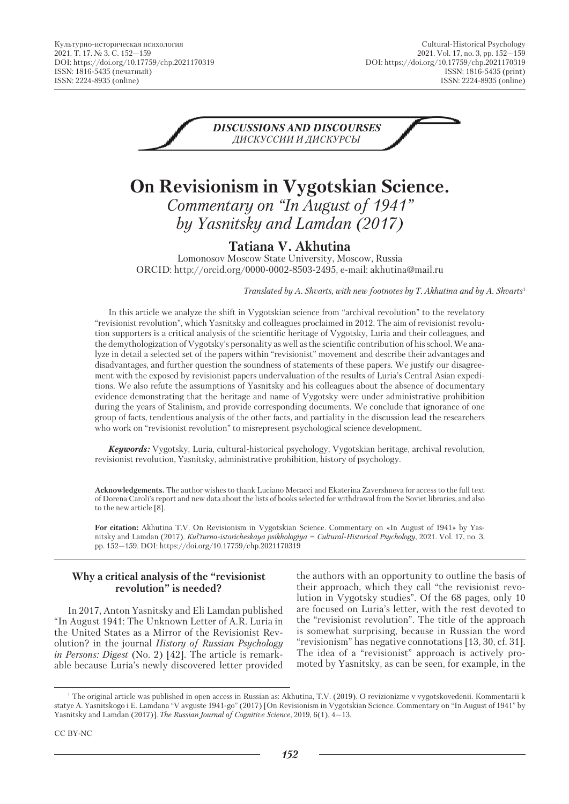

# **On Revisionism in Vygotskian Science.** *Commentary on "In August of 1941" by Yasnitsky and Lamdan (2017)*

### **Tatiana V. Akhutina**

Lomonosov Moscow State University, Moscow, Russia ORCID: http://orcid.org/0000-0002-8503-2495, e-mail: akhutina@mail.ru

*Translated by A. Shvarts, with new footnotes by T. Akhutina and by A. Shvarts*<sup>1</sup>

In this article we analyze the shift in Vygotskian science from "archival revolution" to the revelatory "revisionist revolution", which Yasnitsky and colleagues proclaimed in 2012. The aim of revisionist revolution supporters is a critical analysis of the scientific heritage of Vygotsky, Luria and their colleagues, and the demythologization of Vygotsky's personality as well as the scientific contribution of his school. We analyze in detail a selected set of the papers within "revisionist" movement and describe their advantages and disadvantages, and further question the soundness of statements of these papers. We justify our disagreement with the exposed by revisionist papers undervaluation of the results of Luria's Central Asian expeditions. We also refute the assumptions of Yasnitsky and his colleagues about the absence of documentary evidence demonstrating that the heritage and name of Vygotsky were under administrative prohibition during the years of Stalinism, and provide corresponding documents. We conclude that ignorance of one group of facts, tendentious analysis of the other facts, and partiality in the discussion lead the researchers who work on "revisionist revolution" to misrepresent psychological science development.

*Keywords:* Vygotsky, Luria, cultural-historical psychology, Vygotskian heritage, archival revolution, revisionist revolution, Yasnitsky, administrative prohibition, history of psychology.

**Acknowledgements.** The author wishes to thank Luciano Mecacci and Ekaterina Zavershneva for access to the full text of Dorena Caroli's report and new data about the lists of books selected for withdrawal from the Soviet libraries, and also to the new article [8].

**For citation:** Akhutina T.V. On Revisionism in Vygotskian Science. Commentary on «In August of 1941» by Yasnitsky and Lamdan (2017). *Кul'turno-istoricheskaya psikhologiya = Cultural-Historical Psychology*, 2021. Vol. 17, no. 3, pp. 152—159. DOI: https://doi.org/10.17759/chp.2021170319

#### **Why a critical analysis of the "revisionist revolution" is needed?**

In 2017, Anton Yasnitsky and Eli Lamdan published "In August 1941: The Unknown Letter of A.R. Luria in the United States as a Mirror of the Revisionist Revolution? in the journal *History of Russian Psychology in Persons: Digest* (No. 2) [42]*.* The article is remarkable because Luria's newly discovered letter provided

the authors with an opportunity to outline the basis of their approach, which they call "the revisionist revolution in Vygotsky studies". Of the 68 pages, only 10 are focused on Luria's letter, with the rest devoted to the "revisionist revolution". The title of the approach is somewhat surprising, because in Russian the word "revisionism" has negative connotations [13, 30, cf. 31]. The idea of a "revisionist" approach is actively promoted by Yasnitsky, as can be seen, for example, in the

CC BY-NC

<sup>1</sup> The original article was published in open access in Russian as: Akhutina, T.V. (2019). O revizionizme v vygotskovedenii. Kommentarii k statye A. Yasnitskogo i E. Lamdana "V avguste 1941-go" (2017) [On Revisionism in Vygotskian Science. Commentary on "In August of 1941" by Yasnitsky and Lamdan (2017)]. *The Russian Journal of Cognitive Science*, 2019, 6(1), 4—13.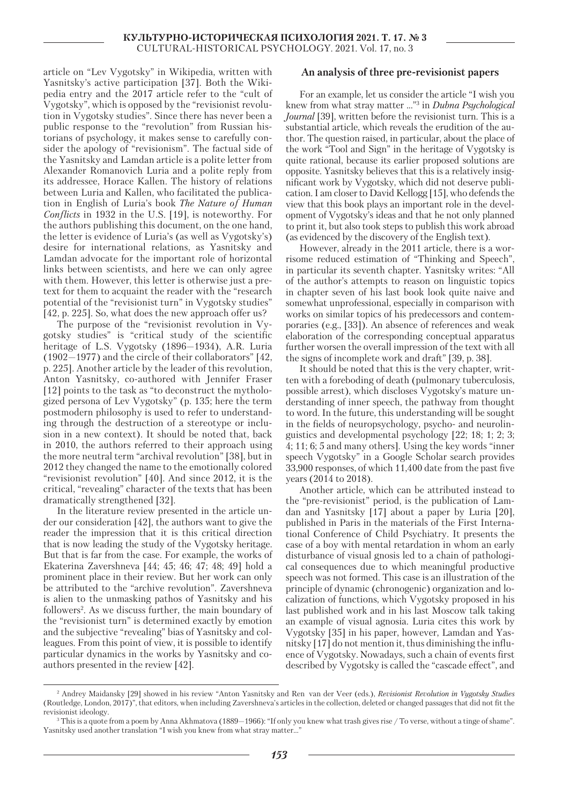article on "Lev Vygotsky" in Wikipedia, written with Yasnitsky's active participation [37]. Both the Wikipedia entry and the 2017 article refer to the "cult of Vygotsky", which is opposed by the "revisionist revolution in Vygotsky studies". Since there has never been a public response to the "revolution" from Russian historians of psychology, it makes sense to carefully consider the apology of "revisionism". The factual side of the Yasnitsky and Lamdan article is a polite letter from Alexander Romanovich Luria and a polite reply from its addressee, Horace Kallen. The history of relations between Luria and Kallen, who facilitated the publication in English of Luria's book *The Nature of Human Conflicts* in 1932 in the U.S. [19], is noteworthy. For the authors publishing this document, on the one hand, the letter is evidence of Luria's (as well as Vygotsky's) desire for international relations, as Yasnitsky and Lamdan advocate for the important role of horizontal links between scientists, and here we can only agree with them. However, this letter is otherwise just a pretext for them to acquaint the reader with the "research potential of the "revisionist turn" in Vygotsky studies" [42, p. 225]. So, what does the new approach offer us?

The purpose of the "revisionist revolution in Vygotsky studies" is "critical study of the scientific heritage of L.S. Vygotsky (1896—1934), A.R. Luria (1902—1977) and the circle of their collaborators" [42, p. 225]. Another article by the leader of this revolution, Anton Yasnitsky, co-authored with Jennifer Fraser [12] points to the task as "to deconstruct the mythologized persona of Lev Vygotsky" (p. 135; here the term postmodern philosophy is used to refer to understanding through the destruction of a stereotype or inclusion in a new context). It should be noted that, back in 2010, the authors referred to their approach using the more neutral term "archival revolution" [38], but in 2012 they changed the name to the emotionally colored "revisionist revolution" [40]. And since 2012, it is the critical, "revealing" character of the texts that has been dramatically strengthened [32].

In the literature review presented in the article under our consideration [42], the authors want to give the reader the impression that it is this critical direction that is now leading the study of the Vygotsky heritage. But that is far from the case. For example, the works of Ekaterina Zavershneva [44; 45; 46; 47; 48; 49] hold a prominent place in their review. But her work can only be attributed to the "archive revolution". Zavershneva is alien to the unmasking pathos of Yasnitsky and his followers<sup>2</sup>. As we discuss further, the main boundary of the "revisionist turn" is determined exactly by emotion and the subjective "revealing" bias of Yasnitsky and colleagues*.* From this point of view, it is possible to identify particular dynamics in the works by Yasnitsky and coauthors presented in the review [42].

#### **An analysis of three pre-revisionist papers**

For an example, let us consider the article "I wish you knew from what stray matter ..."3 in *Dubna Psychological Journal* [39], written before the revisionist turn. This is a substantial article, which reveals the erudition of the author. The question raised, in particular, about the place of the work "Tool and Sign" in the heritage of Vygotsky is quite rational, because its earlier proposed solutions are opposite. Yasnitsky believes that this is a relatively insignificant work by Vygotsky, which did not deserve publication. I am closer to David Kellogg [15], who defends the view that this book plays an important role in the development of Vygotsky's ideas and that he not only planned to print it, but also took steps to publish this work abroad (as evidenced by the discovery of the English text).

However, already in the 2011 article, there is a worrisome reduced estimation of "Thinking and Speech", in particular its seventh chapter. Yasnitsky writes: "All of the author's attempts to reason on linguistic topics in chapter seven of his last book look quite naive and somewhat unprofessional, especially in comparison with works on similar topics of his predecessors and contemporaries (e.g., [33]). An absence of references and weak elaboration of the corresponding conceptual apparatus further worsen the overall impression of the text with all the signs of incomplete work and draft" [39, p. 38].

It should be noted that this is the very chapter, written with a foreboding of death (pulmonary tuberculosis, possible arrest), which discloses Vygotsky's mature understanding of inner speech, the pathway from thought to word. In the future, this understanding will be sought in the fields of neuropsychology, psycho- and neurolinguistics and developmental psychology [22; 18; 1; 2; 3; 4; 11; 6; 5 and many others]. Using the key words "inner speech Vygotsky" in a Google Scholar search provides 33,900 responses, of which 11,400 date from the past five years (2014 to 2018).

Another article, which can be attributed instead to the "pre-revisionist" period, is the publication of Lamdan and Yasnitsky [17] about a paper by Luria [20], published in Paris in the materials of the First International Conference of Child Psychiatry. It presents the case of a boy with mental retardation in whom an early disturbance of visual gnosis led to a chain of pathological consequences due to which meaningful productive speech was not formed. This case is an illustration of the principle of dynamic (chronogenic) organization and localization of functions, which Vygotsky proposed in his last published work and in his last Moscow talk taking an example of visual agnosia. Luria cites this work by Vygotsky [35] in his paper, however, Lamdan and Yasnitsky [17] do not mention it, thus diminishing the influence of Vygotsky. Nowadays, such a chain of events first described by Vygotsky is called the "cascade effect", and

<sup>2</sup> Andrey Maidansky [29] showed in his review "Anton Yasnitsky and Ren van der Veer (eds.), *Revisionist Revolution in Vygotsky Studies*  (Routledge, London, 2017)", that editors, when including Zavershneva's articles in the collection, deleted or changed passages that did not fit the revisionist ideology.

<sup>3</sup> This is a quote from a poem by Anna Akhmatova (1889—1966): "If only you knew what trash gives rise / To verse, without a tinge of shame". Yasnitsky used another translation "I wish you knew from what stray matter..."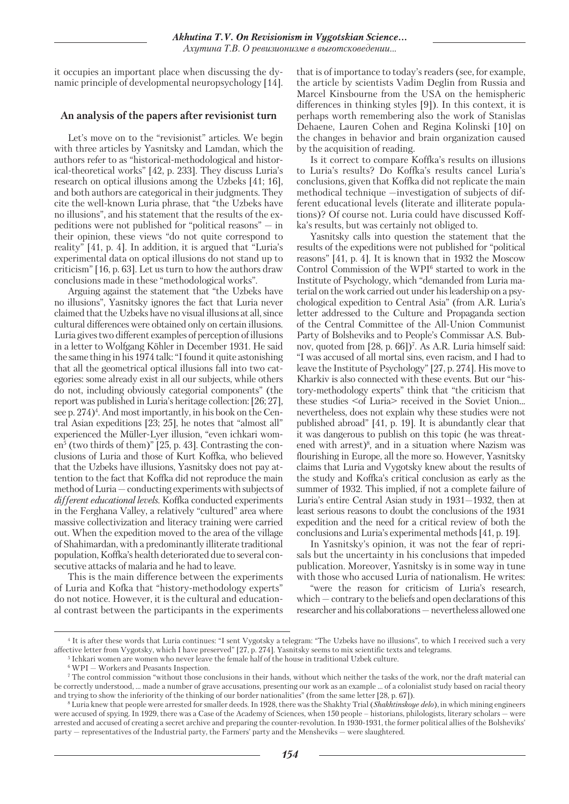it occupies an important place when discussing the dynamic principle of developmental neuropsychology [14].

#### **An analysis of the papers after revisionist turn**

Let's move on to the "revisionist" articles. We begin with three articles by Yasnitsky and Lamdan, which the authors refer to as "historical-methodological and historical-theoretical works" [42, p. 233]. They discuss Luria's research on optical illusions among the Uzbeks [41; 16], and both authors are categorical in their judgments. They cite the well-known Luria phrase, that "the Uzbeks have no illusions", and his statement that the results of the expeditions were not published for "political reasons" — in their opinion, these views "do not quite correspond to reality" [41, p. 4]. In addition, it is argued that "Luria's experimental data on optical illusions do not stand up to criticism" [16, p. 63]. Let us turn to how the authors draw conclusions made in these "methodological works".

Arguing against the statement that "the Uzbeks have no illusions", Yasnitsky ignores the fact that Luria never claimed that the Uzbeks have no visual illusions at all, since cultural differences were obtained only on certain illusions. Luria gives two different examples of perception of illusions in a letter to Wolfgang Köhler in December 1931. He said the same thing in his 1974 talk: "I found it quite astonishing that all the geometrical optical illusions fall into two categories: some already exist in all our subjects, while others do not, including obviously categorial components" (the report was published in Luria's heritage collection: [26; 27], see p. 274)<sup>4</sup>. And most importantly, in his book on the Central Asian expeditions [23; 25], he notes that "almost all" experienced the Müller-Lyer illusion, "even ichkari women<sup>5</sup> (two thirds of them)" [25, p. 43]. Contrasting the conclusions of Luria and those of Kurt Koffka, who believed that the Uzbeks have illusions, Yasnitsky does not pay attention to the fact that Koffka did not reproduce the main method of Luria — conducting experiments with subjects of *different educational levels*. Koffka conducted experiments in the Ferghana Valley, a relatively "cultured" area where massive collectivization and literacy training were carried out. When the expedition moved to the area of the village of Shahimardan, with a predominantly illiterate traditional population, Koffka's health deteriorated due to several consecutive attacks of malaria and he had to leave.

This is the main difference between the experiments of Luria and Kofka that "history-methodology experts" do not notice. However, it is the cultural and educational contrast between the participants in the experiments that is of importance to today's readers (see, for example, the article by scientists Vadim Deglin from Russia and Marcel Kinsbourne from the USA on the hemispheric differences in thinking styles [9]). In this context, it is perhaps worth remembering also the work of Stanislas Dehaene, Lauren Cohen and Regina Kolinski [10] on the changes in behavior and brain organization caused by the acquisition of reading.

Is it correct to compare Koffka's results on illusions to Luria's results? Do Koffka's results cancel Luria's conclusions, given that Koffka did not replicate the main methodical technique —investigation of subjects of different educational levels (literate and illiterate populations)? Of course not. Luria could have discussed Koffka's results, but was certainly not obliged to.

Yasnitsky calls into question the statement that the results of the expeditions were not published for "political reasons" [41, p. 4]. It is known that in 1932 the Moscow Control Commission of the WPI<sup>6</sup> started to work in the Institute of Psychology, which "demanded from Luria material on the work carried out under his leadership on a psychological expedition to Central Asia" (from A.R. Luria's letter addressed to the Culture and Propaganda section of the Central Committee of the All-Union Communist Party of Bolsheviks and to People's Commissar A.S. Bubnov, quoted from [28, p. 66])<sup>7</sup>. As A.R. Luria himself said: "I was accused of all mortal sins, even racism, and I had to leave the Institute of Psychology" [27, p. 274]. His move to Kharkiv is also connected with these events. But our "history-methodology experts" think that "the criticism that these studies <of Luria> received in the Soviet Union... nevertheless, does not explain why these studies were not published abroad" [41, p. 19]. It is abundantly clear that it was dangerous to publish on this topic (he was threatened with arrest) $\delta$ , and in a situation where Nazism was flourishing in Europe, all the more so. However, Yasnitsky claims that Luria and Vygotsky knew about the results of the study and Koffka's critical conclusion as early as the summer of 1932. This implied, if not a complete failure of Luria's entire Central Asian study in 1931—1932, then at least serious reasons to doubt the conclusions of the 1931 expedition and the need for a critical review of both the conclusions and Luria's experimental methods [41, p. 19].

In Yasnitsky's opinion, it was not the fear of reprisals but the uncertainty in his conclusions that impeded publication. Moreover, Yasnitsky is in some way in tune with those who accused Luria of nationalism. He writes:

"were the reason for criticism of Luria's research, which — contrary to the beliefs and open declarations of this researcher and his collaborations — nevertheless allowed one

<sup>4</sup> It is after these words that Luria continues: "I sent Vygotsky a telegram: "The Uzbeks have no illusions", to which I received such a very affective letter from Vygotsky, which I have preserved" [27, p. 274]. Yasnitsky seems to mix scientific texts and telegrams.

<sup>5</sup> Ichkari women are women who never leave the female half of the house in traditional Uzbek culture.

<sup>6</sup> WPI — Workers and Peasants Inspection.

<sup>7</sup> The control commission "without those conclusions in their hands, without which neither the tasks of the work, nor the draft material can be correctly understood, ... made a number of grave accusations, presenting our work as an example ... of a colonialist study based on racial theory and trying to show the inferiority of the thinking of our border nationalities" (from the same letter [28, p. 67]).

<sup>&</sup>lt;sup>8</sup> Luria knew that people were arrested for smaller deeds. In 1928, there was the Shakhty Trial (*Shakhtinskoye delo*), in which mining engineers were accused of spying. In 1929, there was a Case of the Academy of Sciences, when 150 people – historians, philologists, literary scholars — were arrested and accused of creating a secret archive and preparing the counter-revolution. In 1930-1931, the former political allies of the Bolsheviks' party — representatives of the Industrial party, the Farmers' party and the Mensheviks — were slaughtered.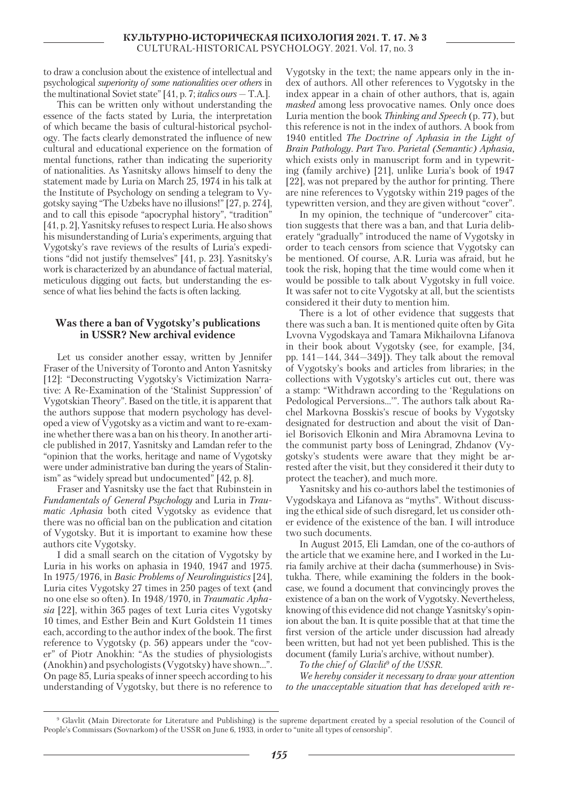to draw a conclusion about the existence of intellectual and psychological *superiority of some nationalities over others* in the multinational Soviet state" [41, p. 7; *italics ours* — T.A.].

This can be written only without understanding the essence of the facts stated by Luria, the interpretation of which became the basis of cultural-historical psychology. The facts clearly demonstrated the influence of new cultural and educational experience on the formation of mental functions, rather than indicating the superiority of nationalities. As Yasnitsky allows himself to deny the statement made by Luria on March 25, 1974 in his talk at the Institute of Psychology on sending a telegram to Vygotsky saying "The Uzbeks have no illusions!" [27, p. 274], and to call this episode "apocryphal history", "tradition" [41, p. 2], Yasnitsky refuses to respect Luria. He also shows his misunderstanding of Luria's experiments, arguing that Vygotsky's rave reviews of the results of Luria's expeditions "did not justify themselves" [41, p. 23]. Yasnitsky's work is characterized by an abundance of factual material, meticulous digging out facts, but understanding the essence of what lies behind the facts is often lacking.

#### **Was there a ban of Vygotsky's publications in USSR? New archival evidence**

Let us consider another essay, written by Jennifer Fraser of the University of Toronto and Anton Yasnitsky [12]: "Deconstructing Vygotsky's Victimization Narrative: A Re-Examination of the 'Stalinist Suppression' of Vygotskian Theory". Based on the title, it is apparent that the authors suppose that modern psychology has developed a view of Vygotsky as a victim and want to re-examine whether there was a ban on his theory. In another article published in 2017, Yasnitsky and Lamdan refer to the "opinion that the works, heritage and name of Vygotsky were under administrative ban during the years of Stalinism" as "widely spread but undocumented" [42, p. 8].

Fraser and Yasnitsky use the fact that Rubinstein in *Fundamentals of General Psychology* and Luria in *Traumatic Aphasia* both cited Vygotsky as evidence that there was no official ban on the publication and citation of Vygotsky. But it is important to examine how these authors cite Vygotsky.

I did a small search on the citation of Vygotsky by Luria in his works on aphasia in 1940, 1947 and 1975. In 1975/1976, in *Basic Problems of Neurolinguistics* [24], Luria cites Vygotsky 27 times in 250 pages of text (and no one else so often). In 1948/1970, in *Traumatic Aphasia* [22], within 365 pages of text Luria cites Vygotsky 10 times, and Esther Bein and Kurt Goldstein 11 times each, according to the author index of the book. The first reference to Vygotsky (p. 56) appears under the "cover" of Piotr Anokhin: "As the studies of physiologists (Anokhin) and psychologists (Vygotsky) have shown...". On page 85, Luria speaks of inner speech according to his understanding of Vygotsky, but there is no reference to

Vygotsky in the text; the name appears only in the index of authors. All other references to Vygotsky in the index appear in a chain of other authors, that is, again *masked* among less provocative names. Only once does Luria mention the book *Thinking and Speech* (p. 77), but this reference is not in the index of authors. A book from 1940 entitled *The Doctrine of Aphasia in the Light of Brain Pathology. Part Two. Parietal (Semantic) Aphasia,* which exists only in manuscript form and in typewriting (family archive) [21], unlike Luria's book of 1947 [22], was not prepared by the author for printing. There are nine references to Vygotsky within 219 pages of the typewritten version, and they are given without "cover".

In my opinion, the technique of "undercover" citation suggests that there was a ban, and that Luria deliberately "gradually" introduced the name of Vygotsky in order to teach censors from science that Vygotsky can be mentioned. Of course, A.R. Luria was afraid, but he took the risk, hoping that the time would come when it would be possible to talk about Vygotsky in full voice. It was safer not to cite Vygotsky at all, but the scientists considered it their duty to mention him.

There is a lot of other evidence that suggests that there was such a ban. It is mentioned quite often by Gita Lvovna Vygodskaya and Tamara Mikhailovna Lifanova in their book about Vygotsky (see, for example, [34, pp.  $141-144$ ,  $344-349$ ]). They talk about the removal of Vygotsky's books and articles from libraries; in the collections with Vygotsky's articles cut out, there was a stamp: "Withdrawn according to the 'Regulations on Pedological Perversions…'". The authors talk about Rachel Markovna Bosskis's rescue of books by Vygotsky designated for destruction and about the visit of Daniel Borisovich Elkonin and Mira Abramovna Levina to the communist party boss of Leningrad, Zhdanov (Vygotsky's students were aware that they might be arrested after the visit, but they considered it their duty to protect the teacher), and much more.

Yasnitsky and his co-authors label the testimonies of Vygodskaya and Lifanova as "myths". Without discussing the ethical side of such disregard, let us consider other evidence of the existence of the ban. I will introduce two such documents.

In August 2015, Eli Lamdan, one of the co-authors of the article that we examine here, and I worked in the Luria family archive at their dacha (summerhouse) in Svistukha. There, while examining the folders in the bookcase, we found a document that convincingly proves the existence of a ban on the work of Vygotsky. Nevertheless, knowing of this evidence did not change Yasnitsky's opinion about the ban. It is quite possible that at that time the first version of the article under discussion had already been written, but had not yet been published. This is the document (family Luria's archive, without number).

*To the chief of Glavlit*<sup>9</sup>  *of the USSR.*

*We hereby consider it necessary to draw your attention to the unacceptable situation that has developed with re-*

<sup>9</sup> Glavlit (Main Directorate for Literature and Publishing) is the supreme department created by a special resolution of the Council of People's Commissars (Sovnarkom) of the USSR on June 6, 1933, in order to "unite all types of censorship".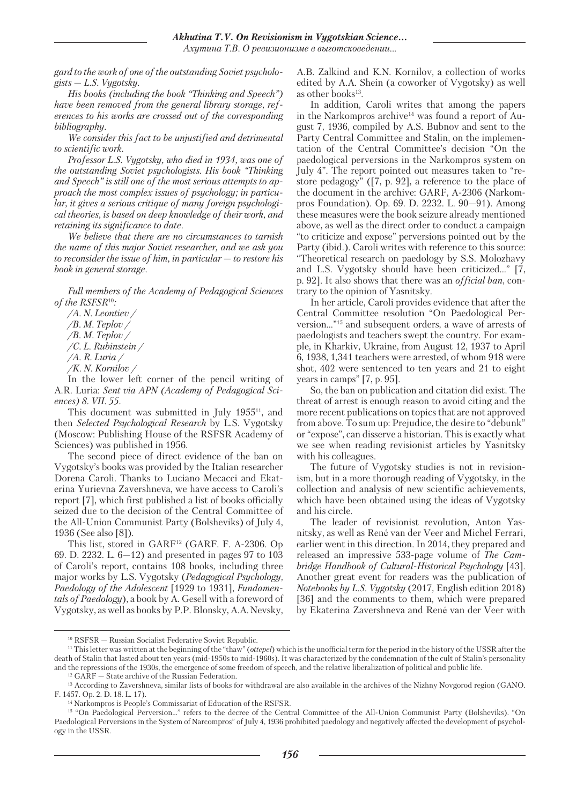*gard to the work of one of the outstanding Soviet psycholo* $gists - L.S. Vygotsky.$ 

*His books (including the book "Thinking and Speech") have been removed from the general library storage, references to his works are crossed out of the corresponding bibliography.*

*We consider this fact to be unjustified and detrimental to scientific work.*

*Professor L.S. Vygotsky, who died in 1934, was one of the outstanding Soviet psychologists. His book "Thinking and Speech" is still one of the most serious attempts to approach the most complex issues of psychology; in particular, it gives a serious critique of many foreign psychological theories, is based on deep knowledge of their work, and retaining its significance to date.*

*We believe that there are no circumstances to tarnish the name of this major Soviet researcher, and we ask you to reconsider the issue of him, in particular — to restore his book in general storage.*

*Full members of the Academy of Pedagogical Sciences of the RSFSR*10*:*

- */А. N. Leontiev /*
- */B. M. Teplov /*
- */B. M. Teplov /*
- */С. L. Rubinstein /*
- */А. R. Luria /*
- */K. N. Kornilov /*

In the lower left corner of the pencil writing of A.R. Luria: *Sent via APN (Academy of Pedagogical Sciences) 8. VII. 55.*

This document was submitted in July 1955<sup>11</sup>, and then *Selected Psychological Research* by L.S. Vygotsky (Moscow: Publishing House of the RSFSR Academy of Sciences) was published in 1956.

The second piece of direct evidence of the ban on Vygotsky's books was provided by the Italian researcher Dorena Caroli. Thanks to Luciano Mecacci and Ekaterina Yurievna Zavershneva, we have access to Caroli's report [7], which first published a list of books officially seized due to the decision of the Central Committee of the All-Union Communist Party (Bolsheviks) of July 4, 1936 (See also [8]).

This list, stored in GARF<sup>12</sup> (GARF, F. A-2306, Op 69. D. 2232. L. 6—12) and presented in pages 97 to 103 of Caroli's report, contains 108 books, including three major works by L.S. Vygotsky (*Pedagogical Psychology*, *Paedology of the Adolescent* [1929 to 1931], *Fundamentals of Paedology*), a book by A. Gesell with a foreword of Vygotsky, as well as books by P.P. Blonsky, A.A. Nevsky, A.B. Zalkind and K.N. Kornilov, a collection of works edited by A.A. Shein (a coworker of Vygotsky) as well as other books $13$ .

In addition, Caroli writes that among the papers in the Narkompros archive<sup>14</sup> was found a report of August 7, 1936, compiled by A.S. Bubnov and sent to the Party Central Committee and Stalin, on the implementation of the Central Committee's decision "On the paedological perversions in the Narkompros system on July 4". The report pointed out measures taken to "restore pedagogy" ([7, p. 92], a reference to the place of the document in the archive: GARF, A-2306 (Narkompros Foundation). Op. 69. D. 2232. L. 90—91). Among these measures were the book seizure already mentioned above, as well as the direct order to conduct a campaign "to criticize and expose" perversions pointed out by the Party (ibid.). Caroli writes with reference to this source: "Theoretical research on paedology by S.S. Molozhavy and L.S. Vygotsky should have been criticized..." [7, p. 92]. It also shows that there was an *official ban*, contrary to the opinion of Yasnitsky.

In her article, Caroli provides evidence that after the Central Committee resolution "On Paedological Perversion..."15 and subsequent orders, a wave of arrests of paedologists and teachers swept the country. For example, in Kharkiv, Ukraine, from August 12, 1937 to April 6, 1938, 1,341 teachers were arrested, of whom 918 were shot, 402 were sentenced to ten years and 21 to eight years in camps" [7, p. 95].

So, the ban on publication and citation did exist. The threat of arrest is enough reason to avoid citing and the more recent publications on topics that are not approved from above. To sum up: Prejudice, the desire to "debunk" or "expose", can disserve a historian. This is exactly what we see when reading revisionist articles by Yasnitsky with his colleagues.

The future of Vygotsky studies is not in revisionism, but in a more thorough reading of Vygotsky, in the collection and analysis of new scientific achievements, which have been obtained using the ideas of Vygotsky and his circle.

The leader of revisionist revolution, Anton Yasnitsky, as well as René van der Veer and Michel Ferrari, earlier went in this direction. In 2014, they prepared and released an impressive 533-page volume of *The Cambridge Handbook of Cultural-Historical Psychology* [43]. Another great event for readers was the publication of *Notebooks by L.S. Vygotsky* (2017, English edition 2018) [36] and the comments to them, which were prepared by Ekaterina Zavershneva and René van der Veer with

<sup>10</sup> RSFSR — Russian Socialist Federative Soviet Republic.

<sup>11</sup> This letter was written at the beginning of the "thaw" (*ottepel*) which is the unofficial term for the period in the history of the USSR after the death of Stalin that lasted about ten years (mid-1950s to mid-1960s). It was characterized by the condemnation of the cult of Stalin's personality and the repressions of the 1930s, the emergence of some freedom of speech, and the relative liberalization of political and public life.

 $^{\rm 12}$  GARF  $-$  State archive of the Russian Federation.

<sup>13</sup> According to Zavershneva, similar lists of books for withdrawal are also available in the archives of the Nizhny Novgorod region (GANO. F. 1457. Op. 2. D. 18. L. 17).

<sup>14</sup> Narkompros is People's Commissariat of Education of the RSFSR.

<sup>15 &</sup>quot;On Paedological Perversion…" refers to the decree of the Central Committee of the All-Union Communist Party (Bolsheviks). "On Paedological Perversions in the System of Narcompros" of July 4, 1936 prohibited paedology and negatively affected the development of psychology in the USSR.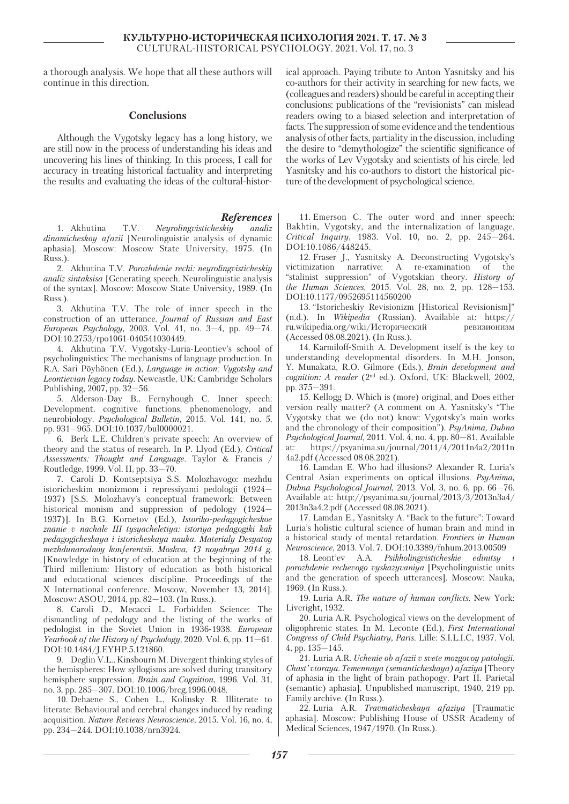a thorough analysis. We hope that all these authors will continue in this direction.

#### **Conclusions**

Although the Vygotsky legacy has a long history, we are still now in the process of understanding his ideas and uncovering his lines of thinking. In this process, I call for accuracy in treating historical factuality and interpreting the results and evaluating the ideas of the cultural-histor-

#### *References*

1. Akhutina T.V. *Neyrolingvisticheskiy analiz dinamicheskoy afazii* [Neurolinguistic analysis of dynamic aphasia]. Moscow: Moscow State University, 1975. (In Russ.).

2. Akhutina T.V. *Porozhdenie rechi: neyrolingvisticheskiy analiz sintaksisa* [Generating speech. Neurolinguistic analysis of the syntax]. Moscow: Moscow State University, 1989. (In Russ.).

3. Akhutina T.V. The role of inner speech in the construction of an utterance. *Journal of Russian and East European Psychology*, 2003. Vol. 41, no. 3—4, pp. 49—74. DOI:10.2753/rpo1061-040541030449.

4. Akhutina T.V. Vygotsky-Luria-Leontiev's school of psycholinguistics: The mechanisms of language production. In R.A. Sari Pöyhönen (Ed.), *Language in action: Vygotsky and Leontievian legacy today*. Newcastle, UK: Cambridge Scholars Publishing, 2007, pp. 32—56.

5. Alderson-Day B., Fernyhough C. Inner speech: Development, cognitive functions, phenomenology, and neurobiology. *Psychological Bulletin*, 2015. Vol. 141, no. 5, pp. 931—965. DOI:10.1037/bul0000021.

6. Berk L.E. Children's private speech: An overview of theory and the status of research. In P. Llyod (Ed.), *Critical Assessments: Thought and Language*. Taylor & Francis / Routledge, 1999. Vol. II, pp. 33—70.

7. Caroli D. Kontseptsiya S.S. Molozhavogo: mezhdu istoricheskim monizmom i repressiyami pedologii (1924— 1937) [S.S. Molozhavy's conceptual framework: Between historical monism and suppression of pedology (1924— 1937)]. In B.G. Kornetov (Ed.), *Istoriko-pedagogicheskoe znanie v nachale III tysyacheletiya: istoriya pedagogiki kak pedagogicheskaya i istoricheskaya nauka. Materialy Desyatoy mezhdunarodnoy konferentsii. Moskva, 13 noyabrya 2014 g.* [Knowledge in history of education at the beginning of the Third millenium: History of education as both historical and educational sciences discipline. Proceedings of the X International conference. Moscow, November 13, 2014]. Moscow: ASOU, 2014, pp. 82—103. (In Russ.).

8. Caroli D., Mecacci L. Forbidden Science: The dismantling of pedology and the listing of the works of pedologist in the Soviet Union in 1936-1938. *European Yearbook of the History of Psychology*, 2020. Vol. 6, pp. 11—61. DOI:10.1484/J.EYHP.5.121860.

9. Deglin V.L., Kinsbourn M. Divergent thinking styles of the hemispheres: How syllogisms are solved during transitory hemisphere suppression. *Brain and Cognition*, 1996. Vol. 31, no. 3, pp. 285—307. DOI:10.1006/brcg.1996.0048.

10. Dehaene S., Cohen L., Kolinsky R. Illiterate to literate: Behavioural and cerebral changes induced by reading acquisition. *Nature Reviews Neuroscience*, 2015. Vol. 16, no. 4, pp. 234—244. DOI:10.1038/nrn3924.

ical approach. Paying tribute to Anton Yasnitsky and his co-authors for their activity in searching for new facts, we (colleagues and readers) should be careful in accepting their conclusions: publications of the "revisionists" can mislead readers owing to a biased selection and interpretation of facts. The suppression of some evidence and the tendentious analysis of other facts, partiality in the discussion, including the desire to "demythologize" the scientific significance of the works of Lev Vygotsky and scientists of his circle, led Yasnitsky and his co-authors to distort the historical picture of the development of psychological science.

11. Emerson С. The outer word and inner speech: Bakhtin, Vygotsky, and the internalization of language. *Critical Inquiry*, 1983. Vol. 10, no. 2, pp. 245—264. DOI:10.1086/448245.

12. Fraser J., Yasnitsky A. Deconstructing Vygotsky's victimization narrative: A re-examination of the "stalinist suppression" of Vygotskian theory. *History of the Human Sciences*, 2015. Vol. 28, no. 2, pp. 128—153. DOI:10.1177/0952695114560200

13. "Istoricheskiy Revisionizm [Historical Revisionism]" (n.d.). In *Wikipedia* (Russian). Available at: https:// ru.wikipedia.org/wiki/Исторический ревизионизм (Accessed 08.08.2021). (In Russ.).

14. Karmiloff-Smith A. Development itself is the key to understanding developmental disorders. In M.H. Jonson, Y. Munakata, R.O. Gilmore (Eds.), *Brain development and cognition: A reader* (2nd ed.). Oxford, UK: Blackwell, 2002, pp. 375—391.

15. Kellogg D. Which is (more) original, and Does either version really matter? (A comment on A. Yasnitsky's "The Vygotsky that we (do not) know: Vygotsky's main works and the chronology of their composition"). *PsyAnima, Dubna Psychological Journal*, 2011. Vol. 4, no. 4, pp. 80—81. Available at: https://psyanima.su/journal/2011/4/2011n4a2/2011n 4a2.pdf (Accessed 08.08.2021).

16. Lamdan E. Who had illusions? Alexander R. Luria's Central Asian experiments on optical illusions. *PsyAnima, Dubna Psychological Journal*, 2013. Vol. 3, no. 6, pp. 66—76. Available at: http://psyanima.su/journal/2013/3/2013n3a4/ 2013n3a4.2.pdf (Accessed 08.08.2021).

17. Lamdan E., Yasnitsky A. "Back to the future": Toward Luria's holistic cultural science of human brain and mind in a historical study of mental retardation. *Frontiers in Human Neuroscience*, 2013. Vol. 7. DOI:10.3389/fnhum.2013.00509

18. Leont'ev A.A. *Psikholingvisticheskie edinitsy i porozhdenie rechevogo vyskazyvaniya* [Psycholinguistic units and the generation of speech utterances]. Moscow: Nauka, 1969. (In Russ.).

19. Luria A.R. *The nature of human conflicts*. New York: Liveright, 1932.

20. Luria A.R. Psychological views on the development of oligophrenic states. In M. Leconte (Ed.), *First International Congress of Child Psychiatry, Paris*. Lille: S.I.L.I.C, 1937. Vol. 4, pp. 135—145.

21. Luria A.R. *Uchenie ob afazii v svete mozgovoy patologii. Chast' vtoraya. Temennaya (semanticheskaya) afaziya* [Theory of aphasia in the light of brain pathopogy. Part II. Parietal (semantic) aphasia]. Unpublished manuscript, 1940, 219 pp. Family archive. (In Russ.).

22. Luria A.R. *Travmaticheskaya afaziya* [Traumatic aphasia]. Moscow: Publishing House of USSR Academy of Medical Sciences, 1947/1970. (In Russ.).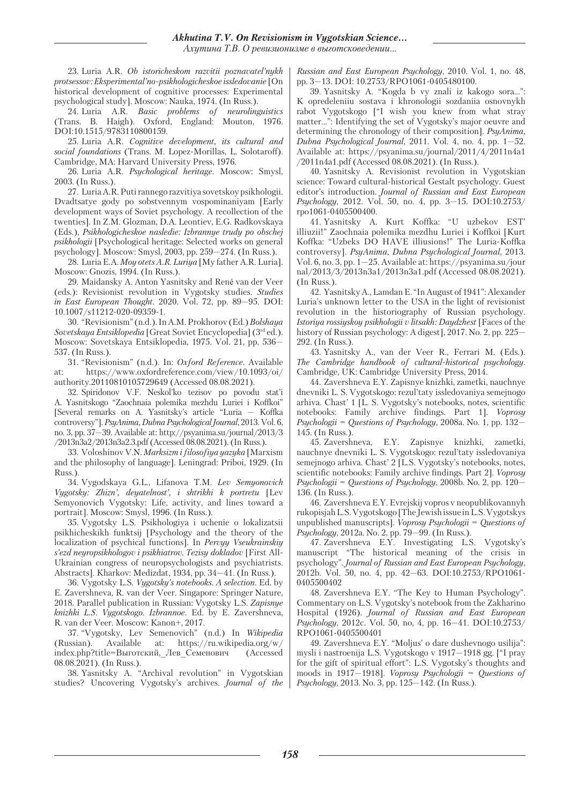23. Luria A.R. *Ob istoricheskom razvitii poznavatel'nykh protsessov: Eksperimental'no-psikhologicheskoe issledovanie* [On historical development of cognitive processes: Experimental psychological study]. Moscow: Nauka, 1974. (In Russ.).

24. Luria A.R. *Basic problems of neurolinguistics* (Trans. B. Haigh). Oxford, England: Mouton, 1976. DOI:10.1515/9783110800159.

25. Luria A.R. *Cognitive development, its cultural and social foundations* (Trans. M. Lopez-Morillas, L. Solotaroff). Cambridge, MA: Harvard University Press, 1976.

26. Luria A.R. *Psychological heritage*. Moscow: Smysl, 2003. (In Russ.).

27. Luria A.R. Puti rannego razvitiya sovetskoy psikhologii. Dvadtsatye gody po sobstvennym vospominaniyam [Early development ways of Soviet psychology. A recollection of the twenties]. In Z.M. Glozman, D.A. Leontiev, E.G. Radkovskaya (Eds.), *Psikhologicheskoe nasledie: Izbrannye trudy po obschej psikhologii* [Psychological heritage: Selected works on general psychology]. Moscow: Smysl, 2003, pp. 259—274. (In Russ.).

28. Luria E.A. *Moy otets A.R. Luriya* [My father A.R. Luria]. Moscow: Gnozis, 1994. (In Russ.).

29. Maidansky A. Anton Yasnitsky and René van der Veer (eds.): Revisionist revolution in Vygotsky studies. *Studies in East European Thought*. 2020. Vol. 72, pp. 89—95. DOI: 10.1007/s11212-020-09359-1.

30. "Revisionism" (n.d.). In A.M. Prokhorov (Ed.) *Bolshaya Sovetskaya Entsiklopedia* [Great Soviet Encyclopedia] (3rd ed.). Moscow: Sovetskaya Entsiklopedia, 1975. Vol. 21, pp. 536— 537. (In Russ.).

31. "Revisionism" (n.d.). In: *Oxford Reference*. Available at: https://www.oxfordreference.com/view/10.1093/oi/ authority.20110810105729649 (Accessed 08.08.2021).

32. Spiridonov V.F. Neskol'ko tezisov po povodu stat'i A. Yasnitskogo "Zaochnaia polemika mezhdu Luriei i Koffkoi" [Several remarks on A. Yasnitsky's article "Luria — Koffka controversy"]. *PsyAnima, Dubna Psychological Journal*, 2013. Vol. 6, no. 3, pp. 37—39. Available at: http://psyanima.su/journal/2013/3 /2013n3a2/2013n3a2.3.pdf (Accessed 08.08.2021). (In Russ.).

33. Voloshinov V.N. *Marksizm i filosofiya yazyka* [Marxism and the philosophy of language]. Leningrad: Priboi, 1929. (In Russ.).

34. Vygodskaya G.L., Lifanova T.M. *Lev Semyonovich Vygotsky: Zhizn', deyatelnost', i shtrikhi k portretu* [Lev Semyonovich Vygotsky: Life, activity, and lines toward a portrait]. Moscow: Smysl, 1996. (In Russ.).

35. Vygotsky L.S. Psikhologiya i uchenie o lokalizatsii psikhicheskikh funktsij [Psychology and the theory of the localization of psychical functions]. In *Pervyy Vseukrainskiy s'ezd neyropsikhologov i psikhiatrov. Tezisy dokladov* [First All-Ukrainian congress of neuropsychologists and psychiatrists. Abstracts]. Kharkov: Medizdat, 1934, pp. 34—41. (In Russ.).

36. Vygotsky L.S. *Vygotsky's notebooks. A selection*. Ed. by E. Zavershneva, R. van der Veer. Singapore: Springer Nature, 2018. Parallel publication in Russian: Vygotsky L.S. *Zapisnye knizhki L.S. Vygotskogo. Izbrannoe.* Ed. by E. Zavershneva, R. van der Veer. Moscow: Kanon+, 2017.

37. "Vygotsky, Lev Semenovich" (n.d.) In *Wikipedia* (Russian). Available at: https://ru.wikipedia.org/w/ index.php?title=Выготский,\_Лев\_Семенович (Accessed 08.08.2021). (In Russ.).

38. Yasnitsky A. "Archival revolution" in Vygotskian studies? Uncovering Vygotsky's archives. *Journal of the*  *Russian and East European Psychology*, 2010. Vol. 1, no. 48, pp. 3—13. DOI: 10.2753/RPO1061-0405480100.

39. Yasnitsky A. "Kogda b vy znali iz kakogo sora...": K opredeleniiu sostava i khronologii sozdaniia osnovnykh rabot Vygotskogo ["I wish you knew from what stray matter...": Identifying the set of Vygotsky's major oeuvre and determining the chronology of their composition]. *PsyAnima, Dubna Psychological Journal*, 2011. Vol. 4, no. 4, pp. 1—52. Available at: https://psyanima.su/journal/2011/4/2011n4a1 /2011n4a1.pdf (Accessed 08.08.2021). (In Russ.).

40. Yasnitsky A. Revisionist revolution in Vygotskian science: Toward cultural-historical Gestalt psychology. Guest editor's introduction. *Journal of Russian and East European Psychology*, 2012. Vol. 50, no. 4, pp. 3—15. DOI:10.2753/ rpo1061-0405500400.

41. Yasnitsky A. Kurt Koffka: "U uzbekov EST' illiuzii!" Zaochnaia polemika mezdhu Luriei i Koffkoi [Kurt Koffka: "Uzbeks DO HAVE illiusions!" The Luria-Koffka controversy]. *PsyAnima, Dubna Psychological Journal*, 2013. Vol. 6, no. 3, pp. 1—25. Available at: https://psyanima.su/jour nal/2013/3/2013n3a1/2013n3a1.pdf (Accessed 08.08.2021). (In Russ.).

42. Yasnitsky A., Lamdan E. "In August of 1941": Alexander Luria's unknown letter to the USA in the light of revisionist revolution in the historiography of Russian psychology. *Istoriya rossiyskoy psikhologii v litsakh: Daydzhest* [Faces of the history of Russian psychology: A digest], 2017. No. 2, pp. 225— 292. (In Russ.).

43. Yasnitsky A., van der Veer R., Ferrari M. (Eds.). *The Cambridge handbook of cultural-historical psychology*. Cambridge, UK: Cambridge University Press, 2014.

44. Zavershneva E.Y. Zapisnye knizhki, zametki, nauchnye dnevniki L. S. Vygotskogo: rezul'taty issledovaniya semejnogo arhiva. Chast' 1 [L. S. Vygotsky's notebooks, notes, scientific notebooks: Family archive findings. Part 1]. *Voprosy Psychologii = Questions of Psychology*, 2008a. No. 1, pp. 132— 145. (In Russ.).

45. Zavershneva, E.Y. Zapisnye knizhki, zametki, nauchnye dnevniki L. S. Vygotskogo: rezul'taty issledovaniya semejnogo arhiva. Chast' 2 [L.S. Vygotsky's notebooks, notes, scientific notebooks: Family archive findings. Part 2]. *Voprosy Psychologii = Questions of Psychology*, 2008b. No. 2, pp. 120— 136. (In Russ.).

46. Zavershneva E.Y. Evrejskij vopros v neopublikovannyh rukopisjah L.S. Vygotskogo [The Jewish issue in L.S. Vygotskys unpublished manuscripts]. *Voprosy Psychologii = Questions of Psychology*, 2012а. No. 2, pp. 79—99. (In Russ.).

47. Zavershneva E.Y. Investigating L.S. Vygotsky's manuscript "The historical meaning of the crisis in psychology". *Journal of Russian and East European Psychology*, 2012b. Vol. 50, no. 4, pp. 42—63. DOI:10.2753/RPO1061- 0405500402

48. Zavershneva E.Y. "The Key to Human Psychology". Commentary on L.S. Vygotsky's notebook from the Zakharino Hospital (1926). *Journal of Russian and East European Psychology*, 2012c. Vol. 50, no, 4, pp. 16—41. DOI:10.2753/ RPO1061-0405500401

49. Zavershneva E.Y. "Moljus' o dare dushevnogo usilija": mysli i nastroenija L.S. Vygotskogo v 1917—1918 gg. ["I pray for the gift of spiritual effort": L.S. Vygotsky's thoughts and moods in 1917—1918]. *Voprosy Psychologii = Questions of Psychology*, 2013. No. 3, pp. 125—142. (In Russ.).